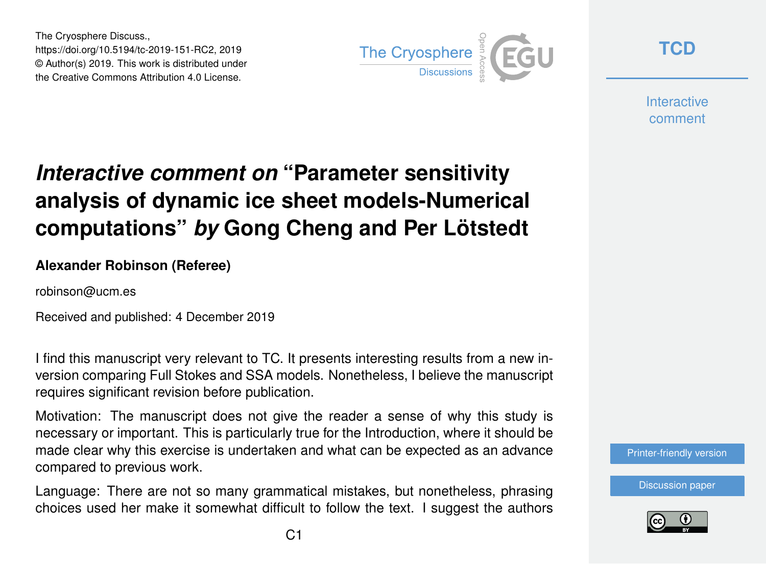The Cryosphere Discuss., https://doi.org/10.5194/tc-2019-151-RC2, 2019 © Author(s) 2019. This work is distributed under the Creative Commons Attribution 4.0 License.



**[TCD](https://www.the-cryosphere-discuss.net/)**

**Interactive** comment

## *Interactive comment on* **"Parameter sensitivity analysis of dynamic ice sheet models-Numerical computations"** *by* **Gong Cheng and Per Lötstedt**

## **Alexander Robinson (Referee)**

robinson@ucm.es

Received and published: 4 December 2019

I find this manuscript very relevant to TC. It presents interesting results from a new inversion comparing Full Stokes and SSA models. Nonetheless, I believe the manuscript requires significant revision before publication.

Motivation: The manuscript does not give the reader a sense of why this study is necessary or important. This is particularly true for the Introduction, where it should be made clear why this exercise is undertaken and what can be expected as an advance compared to previous work.

Language: There are not so many grammatical mistakes, but nonetheless, phrasing choices used her make it somewhat difficult to follow the text. I suggest the authors [Printer-friendly version](https://www.the-cryosphere-discuss.net/tc-2019-151/tc-2019-151-RC2-print.pdf)

[Discussion paper](https://www.the-cryosphere-discuss.net/tc-2019-151)